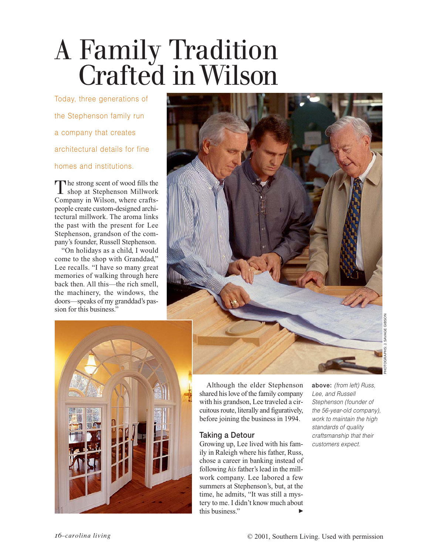# A Family Tradition Crafted inWilson

Today, three generations of the Stephenson family run a company that creates architectural details for fine homes and institutions.

The strong scent of wood fills the<br>
shop at Stephenson Millwork shop at Stephenson Millwork Company in Wilson, where craftspeople create custom-designed architectural millwork. The aroma links the past with the present for Lee Stephenson, grandson of the company's founder, Russell Stephenson.

"On holidays as a child, I would come to the shop with Granddad," Lee recalls. "I have so many great memories of walking through here back then. All this—the rich smell, the machinery, the windows, the doors—speaks of my granddad's passion for this business."





Although the elder Stephenson shared his love of the family company with his grandson, Lee traveled a circuitous route, literally and figuratively, before joining the business in 1994.

# **Taking a Detour**

Growing up, Lee lived with his family in Raleigh where his father, Russ, chose a career in banking instead of following *his*father's lead in the millwork company. Lee labored a few summers at Stephenson's, but, at the time, he admits, "It was still a mystery to me. I didn't know much about this business."

**above:** *(from left) Russ, Lee, and Russell Stephenson (founder of the 56-year-old company), work to maintain the high standards of quality craftsmanship that their customers expect.*

PHOTOGRAPHS: J. SAVAGE GIBSON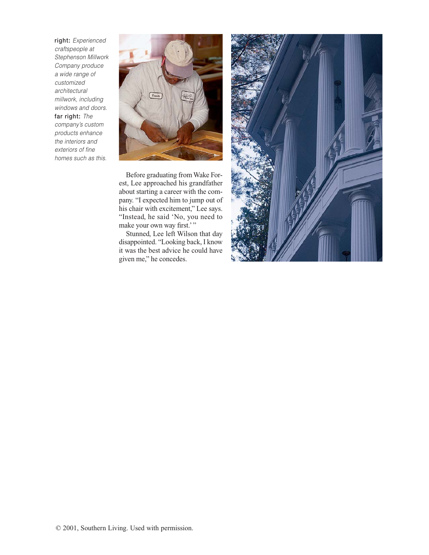**right:** *Experienced craftspeople at Stephenson Millwork Company produce a wide range of customized architectural millwork, including windows and doors.* **far right:** *The company's custom products enhance the interiors and exteriors of fine homes such as this.*



Before graduating from Wake Forest, Lee approached his grandfather about starting a career with the company. "I expected him to jump out of his chair with excitement," Lee says. "Instead, he said 'No, you need to make your own way first.'"

Stunned, Lee left Wilson that day disappointed. "Looking back, I know it was the best advice he could have given me," he concedes.